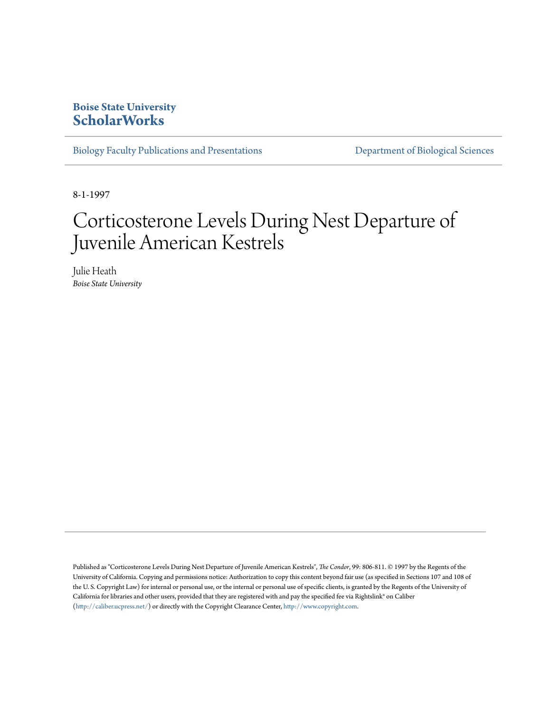## **Boise State University [ScholarWorks](https://scholarworks.boisestate.edu)**

[Biology Faculty Publications and Presentations](https://scholarworks.boisestate.edu/bio_facpubs) **[Department of Biological Sciences](https://scholarworks.boisestate.edu/biosciences)** 

8-1-1997

# Corticosterone Levels During Nest Departure of Juvenile American Kestrels

Julie Heath *Boise State University*

Published as "Corticosterone Levels During Nest Departure of Juvenile American Kestrels", *The Condor*, 99: 806-811. © 1997 by the Regents of the University of California. Copying and permissions notice: Authorization to copy this content beyond fair use (as specified in Sections 107 and 108 of the U. S. Copyright Law) for internal or personal use, or the internal or personal use of specific clients, is granted by the Regents of the University of California for libraries and other users, provided that they are registered with and pay the specified fee via Rightslink® on Caliber [\(http://caliber.ucpress.net/\)](http://caliber.ucpress.net/) or directly with the Copyright Clearance Center, <http://www.copyright.com>.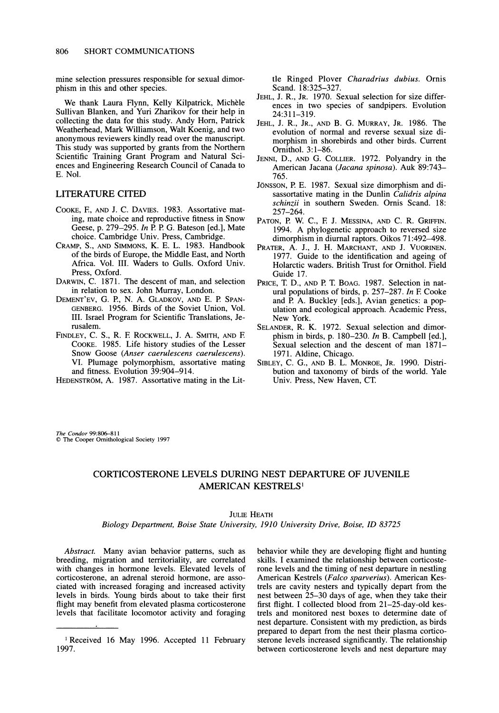**mine selection pressures responsible for sexual dimorphism in this and other species.** 

**We thank Laura Flynn, Kelly Kilpatrick, Michele Sullivan Blanken, and Yuri Zharikov for their help in collecting the data for this study. Andy Horn, Patrick Weatherhead, Mark Williamson, Walt Koenig, and two anonymous reviewers kindly read over the manuscript. This study was supported by grants from the Northern Scientific Training Grant Program and Natural Sciences and Engineering Research Council of Canada to E. Nol.** 

#### **LITERATURE CITED**

- **COOKE, E, AND J. C. DAVIES. 1983. Assortative mating, mate choice and reproductive fitness in Snow Geese, p. 279-295. In P. P. G. Bateson [ed.], Mate choice. Cambridge Univ. Press, Cambridge.**
- **CRAMP, S., AND SIMMONS, K. E. L. 1983. Handbook of the birds of Europe, the Middle East, and North Africa. Vol. III. Waders to Gulls. Oxford Univ. Press, Oxford.**
- **DARWIN, C. 1871. The descent of man, and selection in relation to sex. John Murray, London.**
- **DEMENT'EV, G. P., N. A. GLADKOV, AND E. P. SPAN-GENBERG. 1956. Birds of the Soviet Union, Vol. III. Israel Program for Scientific Translations, Jerusalem.**
- **FINDLEY, C. S., R. E ROCKWELL, J. A. SMITH, AND E COOKE. 1985. Life history studies of the Lesser Snow Goose (Anser caerulescens caerulescens). VI. Plumage polymorphism, assortative mating and fitness. Evolution 39:904-914.**

**HEDENSTROM, A. 1987. Assortative mating in the Lit-**

**tle Ringed Plover Charadrius dubius. Ornis Scand. 18:325-327.** 

- **JEHL, J. R., JR. 1970. Sexual selection for size differences in two species of sandpipers. Evolution 24:311-319.**
- **JEHL, J. R., JR., AND B. G. MURRAY, JR. 1986. The evolution of normal and reverse sexual size dimorphism in shorebirds and other birds. Current Ornithol. 3:1-86.**
- **JENNI, D., AND G. COLLIER. 1972. Polyandry in the American Jacana (Jacana spinosa). Auk 89:743- 765.**
- **JONSSON, P. E. 1987. Sexual size dimorphism and disassortative mating in the Dunlin Calidris alpina schinzii in southern Sweden. Ornis Scand. 18: 257-264.**
- PATON, P. W. C., F. J. MESSINA, AND C. R. GRIFFIN. **1994. A phylogenetic approach to reversed size dimorphism in diurnal raptors. Oikos 71:492-498.**
- PRATER, A. J., J. H. MARCHANT, AND J. VUORINEN. **1977. Guide to the identification and ageing of Holarctic waders. British Trust for Ornithol. Field Guide 17.**
- **PRICE, T. D., AND P. T. BOAG. 1987. Selection in natural populations of birds, p. 257-287. In E Cooke and P. A. Buckley [eds.], Avian genetics: a population and ecological approach. Academic Press, New York.**
- **SELANDER, R. K. 1972. Sexual selection and dimorphism in birds, p. 180-230. In B. Campbell [ed.], Sexual selection and the descent of man 1871- 1971. Aldine, Chicago.**
- **SIBLEY, C. G., AND B. L. MONROE, JR. 1990. Distribution and taxonomy of birds of the world. Yale Univ. Press, New Haven, CT.**

**The Condor 99:806-811 ? The Cooper Ornithological Society 1997** 

### **CORTICOSTERONE LEVELS DURING NEST DEPARTURE OF JUVENILE AMERICAN KESTRELS'**

#### **JULIE HEATH**

**Biology Department, Boise State University, 1910 University Drive, Boise, ID 83725** 

**Abstract. Many avian behavior patterns, such as breeding, migration and territoriality, are correlated with changes in hormone levels. Elevated levels of corticosterone, an adrenal steroid hormone, are associated with increased foraging and increased activity levels in birds. Young birds about to take their first flight may benefit from elevated plasma corticosterone levels that facilitate locomotor activity and foraging**  **behavior while they are developing flight and hunting skills. I examined the relationship between corticosterone levels and the timing of nest departure in nestling American Kestrels (Falco sparverius). American Kestrels are cavity nesters and typically depart from the nest between 25-30 days of age, when they take their first flight. I collected blood from 21-25-day-old kestrels and monitored nest boxes to determine date of nest departure. Consistent with my prediction, as birds prepared to depart from the nest their plasma corticosterone levels increased significantly. The relationship between corticosterone levels and nest departure may** 

**<sup>&#</sup>x27;Received 16 May 1996. Accepted 11 February 1997.**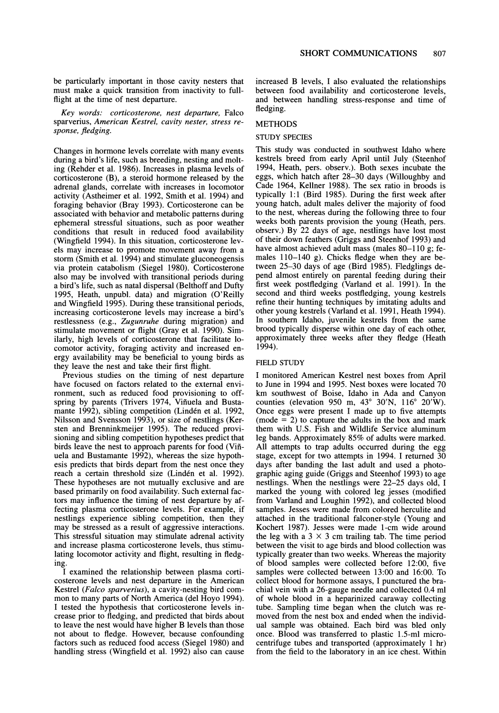**be particularly important in those cavity nesters that must make a quick transition from inactivity to fullflight at the time of nest departure.** 

**Key words: corticosterone, nest departure, Falco sparverius, American Kestrel, cavity nester, stress response, fledging.** 

**Changes in hormone levels correlate with many events during a bird's life, such as breeding, nesting and molting (Rehder et al. 1986). Increases in plasma levels of corticosterone (B), a steroid hormone released by the adrenal glands, correlate with increases in locomotor activity (Astheimer et al. 1992, Smith et al. 1994) and foraging behavior (Bray 1993). Corticosterone can be associated with behavior and metabolic patterns during ephemeral stressful situations, such as poor weather conditions that result in reduced food availability (Wingfield 1994). In this situation, corticosterone levels may increase to promote movement away from a storm (Smith et al. 1994) and stimulate gluconeogensis via protein catabolism (Siegel 1980). Corticosterone also may be involved with transitional periods during a bird's life, such as natal dispersal (Belthoff and Dufty 1995, Heath, unpubl. data) and migration (O'Reilly and Wingfield 1995). During these transitional periods, increasing corticosterone levels may increase a bird's restlessness (e.g., Zugunruhe during migration) and stimulate movement or flight (Gray et al. 1990). Similarly, high levels of corticosterone that facilitate locomotor activity, foraging activity and increased energy availability may be beneficial to young birds as they leave the nest and take their first flight.** 

**Previous studies on the timing of nest departure have focused on factors related to the external environment, such as reduced food provisioning to off**spring by parents (Trivers 1974, Viñuela and Bustamante 1992), sibling competition (Lindén et al. 1992, **Nilsson and Svensson 1993), or size of nestlings (Kersten and Brenninkmeijer 1995). The reduced provisioning and sibling competition hypotheses predict that birds leave the nest to approach parents for food (Vifiuela and Bustamante 1992), whereas the size hypothesis predicts that birds depart from the nest once they**  reach a certain threshold size (Lindén et al. 1992). **These hypotheses are not mutually exclusive and are based primarily on food availability. Such external factors may influence the timing of nest departure by affecting plasma corticosterone levels. For example, if nestlings experience sibling competition, then they may be stressed as a result of aggressive interactions. This stressful situation may stimulate adrenal activity and increase plasma corticosterone levels, thus stimulating locomotor activity and flight, resulting in fledging.** 

**I examined the relationship between plasma corticosterone levels and nest departure in the American Kestrel (Falco sparverius), a cavity-nesting bird common to many parts of North America (del Hoyo 1994). I tested the hypothesis that corticosterone levels increase prior to fledging, and predicted that birds about to leave the nest would have higher B levels than those not about to fledge. However, because confounding factors such as reduced food access (Siegel 1980) and handling stress (Wingfield et al. 1992) also can cause** 

**increased B levels, I also evaluated the relationships between food availability and corticosterone levels, and between handling stress-response and time of fledging.** 

#### **METHODS**

#### **STUDY SPECIES**

**This study was conducted in southwest Idaho where kestrels breed from early April until July (Steenhof 1994, Heath, pers. observ.). Both sexes incubate the eggs, which hatch after 28-30 days (Willoughby and Cade 1964, Kellner 1988). The sex ratio in broods is typically 1:1 (Bird 1985). During the first week after young hatch, adult males deliver the majority of food to the nest, whereas during the following three to four weeks both parents provision the young (Heath, pers. observ.) By 22 days of age, nestlings have lost most of their down feathers (Griggs and Steenhof 1993) and have almost achieved adult mass (males 80-110 g; females 110-140 g). Chicks fledge when they are between 25-30 days of age (Bird 1985). Fledglings depend almost entirely on parental feeding during their first week postfledging (Varland et al. 1991). In the second and third weeks postfledging, young kestrels refine their hunting techniques by imitating adults and other young kestrels (Varland et al. 1991, Heath 1994). In southern Idaho, juvenile kestrels from the same brood typically disperse within one day of each other, approximately three weeks after they fledge (Heath 1994).** 

#### **FIELD STUDY**

**I monitored American Kestrel nest boxes from April to June in 1994 and 1995. Nest boxes were located 70 km southwest of Boise, Idaho in Ada and Canyon counties (elevation 950 m, 43° 30'N, 116° 20'W). Once eggs were present I made up to five attempts (mode = 2) to capture the adults in the box and mark them with U.S. Fish and Wildlife Service aluminum leg bands. Approximately 85% of adults were marked. All attempts to trap adults occurred during the egg stage, except for two attempts in 1994. I returned 30 days after banding the last adult and used a photographic aging guide (Griggs and Steenhof 1993) to age nestlings. When the nestlings were 22-25 days old, I marked the young with colored leg jesses (modified from Varland and Loughin 1992), and collected blood samples. Jesses were made from colored herculite and attached in the traditional falconer-style (Young and Kochert 1987). Jesses were made 1-cm wide around**  the leg with a  $3 \times 3$  cm trailing tab. The time period **between the visit to age birds and blood collection was typically greater than two weeks. Whereas the majority of blood samples were collected before 12:00, five samples were collected between 13:00 and 16:00. To collect blood for hormone assays, I punctured the brachial vein with a 26-gauge needle and collected 0.4 ml of whole blood in a heparinized caraway collecting tube. Sampling time began when the clutch was removed from the nest box and ended when the individual sample was obtained. Each bird was bled only once. Blood was transferred to plastic 1.5-ml microcentrifuge tubes and transported (approximately 1 hr) from the field to the laboratory in an ice chest. Within**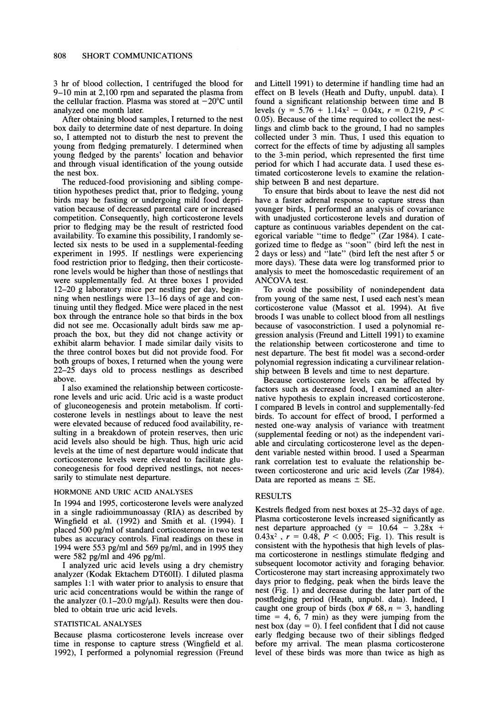**3 hr of blood collection, I centrifuged the blood for 9-10 min at 2,100 rpm and separated the plasma from**  the cellular fraction. Plasma was stored at  $-20^{\circ}$ C until **analyzed one month later.** 

**After obtaining blood samples, I returned to the nest box daily to determine date of nest departure. In doing so, I attempted not to disturb the nest to prevent the young from fledging prematurely. I determined when young fledged by the parents' location and behavior and through visual identification of the young outside the nest box.** 

**The reduced-food provisioning and sibling competition hypotheses predict that, prior to fledging, young birds may be fasting or undergoing mild food deprivation because of decreased parental care or increased competition. Consequently, high corticosterone levels prior to fledging may be the result of restricted food availability. To examine this possibility, I randomly selected six nests to be used in a supplemental-feeding experiment in 1995. If nestlings were experiencing food restriction prior to fledging, then their corticosterone levels would be higher than those of nestlings that were supplementally fed. At three boxes I provided 12-20 g laboratory mice per nestling per day, beginning when nestlings were 13-16 days of age and continuing until they fledged. Mice were placed in the nest box through the entrance hole so that birds in the box did not see me. Occasionally adult birds saw me approach the box, but they did not change activity or exhibit alarm behavior. I made similar daily visits to the three control boxes but did not provide food. For both groups of boxes, I returned when the young were 22-25 days old to process nestlings as described above.** 

**I also examined the relationship between corticosterone levels and uric acid. Uric acid is a waste product of gluconeogenesis and protein metabolism. If corticosterone levels in nestlings about to leave the nest were elevated because of reduced food availability, resulting in a breakdown of protein reserves, then uric acid levels also should be high. Thus, high uric acid levels at the time of nest departure would indicate that corticosterone levels were elevated to facilitate gluconeogenesis for food deprived nestlings, not necessarily to stimulate nest departure.** 

#### **HORMONE AND URIC ACID ANALYSES**

**In 1994 and 1995, corticosterone levels were analyzed in a single radioimmunoassay (RIA) as described by Wingfield et al. (1992) and Smith et al. (1994). I placed 500 pg/ml of standard corticosterone in two test tubes as accuracy controls. Final readings on these in 1994 were 553 pg/ml and 569 pg/ml, and in 1995 they were 582 pg/ml and 496 pg/ml.** 

**I analyzed uric acid levels using a dry chemistry analyzer (Kodak Ektachem DT60II). I diluted plasma samples 1:1 with water prior to analysis to ensure that uric acid concentrations would be within the range of**  the analyzer (0.1–20.0 mg/ $\mu$ l). Results were then dou**bled to obtain true uric acid levels.** 

#### **STATISTICAL ANALYSES**

**Because plasma corticosterone levels increase over time in response to capture stress (Wingfield et al. 1992), I performed a polynomial regression (Freund**  **and Littell 1991) to determine if handling time had an effect on B levels (Heath and Dufty, unpubl. data). I found a significant relationship between time and B**  levels (y = 5.76 + 1.14x<sup>2</sup> - 0.04x, r = 0.219, P < **0.05). Because of the time required to collect the nestlings and climb back to the ground, I had no samples collected under 3 min. Thus, I used this equation to correct for the effects of time by adjusting all samples to the 3-min period, which represented the first time period for which I had accurate data. I used these estimated corticosterone levels to examine the relationship between B and nest departure.** 

**To ensure that birds about to leave the nest did not have a faster adrenal response to capture stress than younger birds, I performed an analysis of covariance with unadjusted corticosterone levels and duration of capture as continuous variables dependent on the categorical variable "time to fledge" (Zar 1984). I categorized time to fledge as "soon" (bird left the nest in 2 days or less) and "late" (bird left the nest after 5 or more days). These data were log transformed prior to analysis to meet the homoscedastic requirement of an ANCOVA test.** 

**To avoid the possibility of nonindependent data from young of the same nest, I used each nest's mean corticosterone value (Massot et al. 1994). At five broods I was unable to collect blood from all nestlings because of vasoconstriction. I used a polynomial regression analysis (Freund and Littell 1991) to examine the relationship between corticosterone and time to nest departure. The best fit model was a second-order polynomial regression indicating a curvilinear relationship between B levels and time to nest departure.** 

**Because corticosterone levels can be affected by factors such as decreased food, I examined an alternative hypothesis to explain increased corticosterone. I compared B levels in control and supplementally-fed birds. To account for effect of brood, I performed a nested one-way analysis of variance with treatment (supplemental feeding or not) as the independent variable and circulating corticosterone level as the dependent variable nested within brood. I used a Spearman rank correlation test to evaluate the relationship between corticosterone and uric acid levels (Zar 1984).**  Data are reported as means  $\pm$  SE.

#### **RESULTS**

**Kestrels fledged from nest boxes at 25-32 days of age. Plasma corticosterone levels increased significantly as**  nest departure approached  $(y = 10.64 - 3.28x + 1)$  $0.43x^2$ ,  $r = 0.48$ ,  $P < 0.005$ ; Fig. 1). This result is **consistent with the hypothesis that high levels of plasma corticosterone in nestlings stimulate fledging and subsequent locomotor activity and foraging behavior. Corticosterone may start increasing approximately two days prior to fledging, peak when the birds leave the nest (Fig. 1) and decrease during the later part of the postfledging period (Heath, unpubl. data). Indeed, I**  caught one group of birds (box  $# 68$ ,  $n = 3$ , handling **time = 4, 6, 7 min) as they were jumping from the nest box (day = 0). I feel confident that I did not cause early fledging because two of their siblings fledged before my arrival. The mean plasma corticosterone level of these birds was more than twice as high as**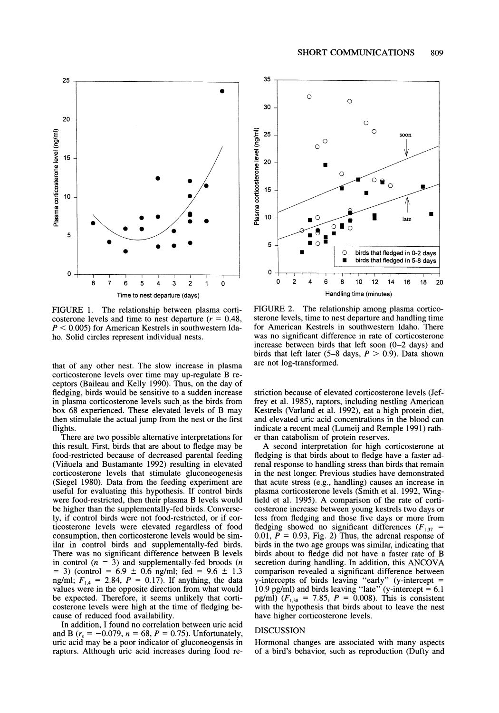

**FIGURE 1. The relationship between plasma corti**costerone levels and time to nest departure  $(r = 0.48,$ **P < 0.005) for American Kestrels in southwestern Idaho. Solid circles represent individual nests.** 

**that of any other nest. The slow increase in plasma corticosterone levels over time may up-regulate B receptors (Baileau and Kelly 1990). Thus, on the day of fledging, birds would be sensitive to a sudden increase in plasma corticosterone levels such as the birds from box 68 experienced. These elevated levels of B may then stimulate the actual jump from the nest or the first flights.** 

**There are two possible alternative interpretations for this result. First, birds that are about to fledge may be food-restricted because of decreased parental feeding (Vifiuela and Bustamante 1992) resulting in elevated corticosterone levels that stimulate gluconeogenesis (Siegel 1980). Data from the feeding experiment are useful for evaluating this hypothesis. If control birds were food-restricted, then their plasma B levels would be higher than the supplementally-fed birds. Conversely, if control birds were not food-restricted, or if corticosterone levels were elevated regardless of food consumption, then corticosterone levels would be similar in control birds and supplementally-fed birds. There was no significant difference between B levels**  in control  $(n = 3)$  and supplementally-fed broods  $(n \mid n)$  $= 3$ ) (control  $= 6.9 \pm 0.6$  ng/ml; fed  $= 9.6 \pm 1.3$ ng/ml;  $F_{1,4} = 2.84$ ,  $P = 0.17$ . If anything, the data **FI,4 values were in the opposite direction from what would be expected. Therefore, it seems unlikely that corticosterone levels were high at the time of fledging because of reduced food availability.** 

**In addition, I found no correlation between uric acid**  and B ( $r_s = -0.079$ ,  $n = 68$ ,  $P = 0.75$ ). Unfortunately, **uric acid may be a poor indicator of gluconeogensis in raptors. Although uric acid increases during food re-**



**FIGURE 2. The relationship among plasma corticosterone levels, time to nest departure and handling time for American Kestrels in southwestern Idaho. There was no significant difference in rate of corticosterone increase between birds that left soon (0-2 days) and**  birds that left later  $(5-8 \text{ days}, P > 0.9)$ . Data shown **are not log-transformed.** 

**striction because of elevated corticosterone levels (Jeffrey et al. 1985), raptors, including nestling American Kestrels (Varland et al. 1992), eat a high protein diet, and elevated uric acid concentrations in the blood can indicate a recent meal (Lumeij and Remple 1991) rather than catabolism of protein reserves.** 

**A second interpretation for high corticosterone at fledging is that birds about to fledge have a faster adrenal response to handling stress than birds that remain in the nest longer. Previous studies have demonstrated that acute stress (e.g., handling) causes an increase in plasma corticosterone levels (Smith et al. 1992, Wingfield et al. 1995). A comparison of the rate of corticosterone increase between young kestrels two days or less from fledging and those five days or more from**  fledging showed no significant differences  $(F_{1,37}$  =  $0.01, \vec{P} = 0.93, \text{ Fig. 2}$  Thus, the adrenal response of **birds in the two age groups was similar, indicating that birds about to fledge did not have a faster rate of B secretion during handling. In addition, this ANCOVA comparison revealed a significant difference between y-intercepts of birds leaving "early" (y-intercept =**  10.9 pg/ml) and birds leaving "late" (y-intercept  $= 6.1$ **pg/ml)**  $(F_{1,38} = 7.85, P = 0.008)$ . This is consistent **with the hypothesis that birds about to leave the nest have higher corticosterone levels.** 

#### **DISCUSSION**

**Hormonal changes are associated with many aspects of a bird's behavior, such as reproduction (Dufty and**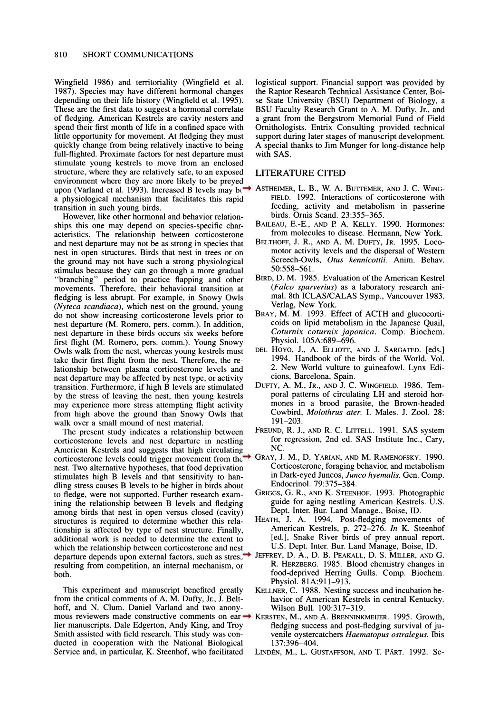**Wingfield 1986) and territoriality (Wingfield et al. 1987). Species may have different hormonal changes depending on their life history (Wingfield et al. 1995). These are the first data to suggest a hormonal correlate of fledging. American Kestrels are cavity nesters and spend their first month of life in a confined space with little opportunity for movement. At fledging they must quickly change from being relatively inactive to being full-flighted. Proximate factors for nest departure must stimulate young kestrels to move from an enclosed structure, where they are relatively safe, to an exposed environment where they are more likely to be preyed upon (Varland et al. 1993). Increased B levels may be a physiological mechanism that facilitates this rapid transition in such young birds.** 

**However, like other hormonal and behavior relationships this one may depend on species-specific characteristics. The relationship between corticosterone and nest departure may not be as strong in species that nest in open structures. Birds that nest in trees or on the ground may not have such a strong physiological stimulus because they can go through a more gradual "branching" period to practice flapping and other movements. Therefore, their behavioral transition at fledging is less abrupt. For example, in Snowy Owls (Nyteca scandiaca), which nest on the ground, young do not show increasing corticosterone levels prior to nest departure (M. Romero, pers. comm.). In addition, nest departure in these birds occurs six weeks before first flight (M. Romero, pers. comm.). Young Snowy Owls walk from the nest, whereas young kestrels must take their first flight from the nest. Therefore, the relationship between plasma corticosterone levels and nest departure may be affected by nest type, or activity transition. Furthermore, if high B levels are stimulated by the stress of leaving the nest, then young kestrels may experience more stress attempting flight activity from high above the ground than Snowy Owls that walk over a small mound of nest material.** 

**The present study indicates a relationship between corticosterone levels and nest departure in nestling American Kestrels and suggests that high circulating corticosterone levels could trigger movement from the nest. Two alternative hypotheses, that food deprivation stimulates high B levels and that sensitivity to handling stress causes B levels to be higher in birds about to fledge, were not supported. Further research examining the relationship between B levels and fledging among birds that nest in open versus closed (cavity) structures is required to determine whether this relationship is affected by type of nest structure. Finally, additional work is needed to determine the extent to which the relationship between corticosterone and nest departure depends upon external factors, such as stress JEFFREY, D. A., D. B. PEAKALL, D. S. MILLER, AND G. resulting from competition, an internal mechanism, or both.** 

**This experiment and manuscript benefited greatly from the critical comments of A. M. Dufty, Jr., J. Belthoff, and N. Clum. Daniel Varland and two anonymous reviewers made constructive comments on earlier manuscripts. Dale Edgerton, Andy King, and Troy Smith assisted with field research. This study was conducted in cooperation with the National Biological Service and, in particular, K. Steenhof, who facilitated** 

**logistical support. Financial support was provided by the Raptor Research Technical Assistance Center, Boise State University (BSU) Department of Biology, a BSU Faculty Research Grant to A. M. Dufty, Jr., and a grant from the Bergstrom Memorial Fund of Field Ornithologists. Entrix Consulting provided technical support during later stages of manuscript development. A special thanks to Jim Munger for long-distance help with SAS.** 

#### **LITERATURE CITED**

- **ASTHEIMER, L. B., W. A. BUTTEMER, AND J. C. WING-FIELD. 1992. Interactions of corticosterone with feeding, activity and metabolism in passerine birds. Ornis Scand. 23:355-365.** 
	- **BAILEAU, E.-E., AND P. A. KELLY. 1990. Hormones: from molecules to disease. Hermann, New York.**
	- **BELTHOFF, J. R., AND A. M. DuFTY, JR. 1995. Locomotor activity levels and the dispersal of Western Screech-Owls, Otus kennicottii. Anim. Behav. 50:558-561.**
	- **BIRD, D. M. 1985. Evaluation of the American Kestrel (Falco sparverius) as a laboratory research animal. 8th ICLAS/CALAS Symp., Vancouver 1983. Verlag, New York.**
	- **BRAY, M. M. 1993. Effect of ACTH and glucocorticoids on lipid metabolism in the Japanese Quail, Coturnix coturnix japonica. Comp. Biochem. Physiol. 105A:689-696.**
	- **DEL HOYO, J., A. ELLIOTT, AND J. SARGATED. [eds.] 1994. Handbook of the birds of the World. Vol. 2. New World vulture to guineafowl. Lynx Edicions, Barcelona, Spain.**
	- **DuFTY, A. M., JR., AND J. C. WINGFIELD. 1986. Temporal patterns of circulating LH and steroid hormones in a brood parasite, the Brown-headed Cowbird, Molothrus ater. I. Males. J. Zool. 28: 191-203.**
	- **FREUND, R. J., AND R. C. LITTELL. 1991. SAS system for regression, 2nd ed. SAS Institute Inc., Cary, NC.**
	- **GRAY, J. M., D. YARIAN, AND M. RAMENOFSKY. 1990. Corticosterone, foraging behavior, and metabolism in Dark-eyed Juncos, Junco hyemalis. Gen. Comp. Endocrinol. 79:375-384.**
	- **GRIGGS, G. R., AND K. STEENHOF. 1993. Photographic guide for aging nestling American Kestrels. U.S. Dept. Inter. Bur. Land Manage., Boise, ID.**
	- **HEATH, J. A. 1994. Post-fledging movements of American Kestrels, p. 272-276. In K. Steenhof [ed.], Snake River birds of prey annual report. U.S. Dept. Inter. Bur. Land Manage, Boise, ID.**
	- **R. HERZBERG. 1985. Blood chemistry changes in food-deprived Herring Gulls. Comp. Biochem. Physiol. 81A:911-913.**
	- **KELLNER, C. 1988. Nesting success and incubation behavior of American Kestrels in central Kentucky. Wilson Bull. 100:317-319.**
	- **KERSTEN, M., AND A. BRENNINKMEIJER. 1995. Growth, fledging success and post-fledging survival of juvenile oystercatchers Haematopus ostralegus. Ibis 137:396-404.**
	- LINDÉN, M., L. GUSTAFFSON, AND T. PÄRT. 1992. Se-